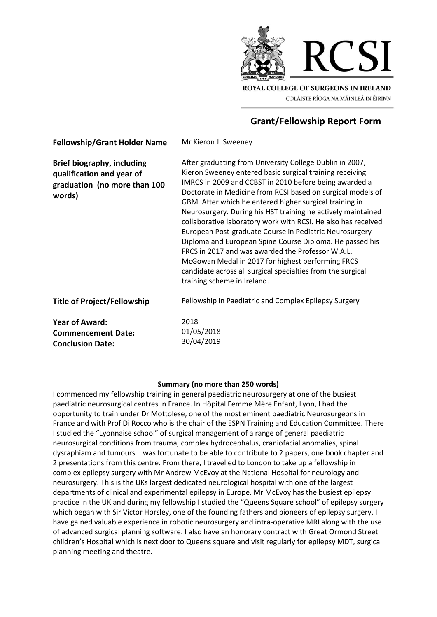

COLÁISTE RÍOGA NA MÁINLEÁ IN ÉIRINN

## **Grant/Fellowship Report Form**

| <b>Fellowship/Grant Holder Name</b>                                                                      | Mr Kieron J. Sweeney                                                                                                                                                                                                                                                                                                                                                                                                                                                                                                                                                                                                                                                                                                                                                     |
|----------------------------------------------------------------------------------------------------------|--------------------------------------------------------------------------------------------------------------------------------------------------------------------------------------------------------------------------------------------------------------------------------------------------------------------------------------------------------------------------------------------------------------------------------------------------------------------------------------------------------------------------------------------------------------------------------------------------------------------------------------------------------------------------------------------------------------------------------------------------------------------------|
| <b>Brief biography, including</b><br>qualification and year of<br>graduation (no more than 100<br>words) | After graduating from University College Dublin in 2007,<br>Kieron Sweeney entered basic surgical training receiving<br>IMRCS in 2009 and CCBST in 2010 before being awarded a<br>Doctorate in Medicine from RCSI based on surgical models of<br>GBM. After which he entered higher surgical training in<br>Neurosurgery. During his HST training he actively maintained<br>collaborative laboratory work with RCSI. He also has received<br>European Post-graduate Course in Pediatric Neurosurgery<br>Diploma and European Spine Course Diploma. He passed his<br>FRCS in 2017 and was awarded the Professor W.A.L.<br>McGowan Medal in 2017 for highest performing FRCS<br>candidate across all surgical specialties from the surgical<br>training scheme in Ireland. |
| <b>Title of Project/Fellowship</b>                                                                       | Fellowship in Paediatric and Complex Epilepsy Surgery                                                                                                                                                                                                                                                                                                                                                                                                                                                                                                                                                                                                                                                                                                                    |
| <b>Year of Award:</b><br><b>Commencement Date:</b><br><b>Conclusion Date:</b>                            | 2018<br>01/05/2018<br>30/04/2019                                                                                                                                                                                                                                                                                                                                                                                                                                                                                                                                                                                                                                                                                                                                         |

## **Summary (no more than 250 words)**

I commenced my fellowship training in general paediatric neurosurgery at one of the busiest paediatric neurosurgical centres in France. In Hôpital Femme Mère Enfant, Lyon, I had the opportunity to train under Dr Mottolese, one of the most eminent paediatric Neurosurgeons in France and with Prof Di Rocco who is the chair of the ESPN Training and Education Committee. There I studied the "Lyonnaise school" of surgical management of a range of general paediatric neurosurgical conditions from trauma, complex hydrocephalus, craniofacial anomalies, spinal dysraphiam and tumours. I was fortunate to be able to contribute to 2 papers, one book chapter and 2 presentations from this centre. From there, I travelled to London to take up a fellowship in complex epilepsy surgery with Mr Andrew McEvoy at the National Hospital for neurology and neurosurgery. This is the UKs largest dedicated neurological hospital with one of the largest departments of clinical and experimental epilepsy in Europe. Mr McEvoy has the busiest epilepsy practice in the UK and during my fellowship I studied the "Queens Square school" of epilepsy surgery which began with Sir Victor Horsley, one of the founding fathers and pioneers of epilepsy surgery. I have gained valuable experience in robotic neurosurgery and intra-operative MRI along with the use of advanced surgical planning software. I also have an honorary contract with Great Ormond Street children's Hospital which is next door to Queens square and visit regularly for epilepsy MDT, surgical planning meeting and theatre.